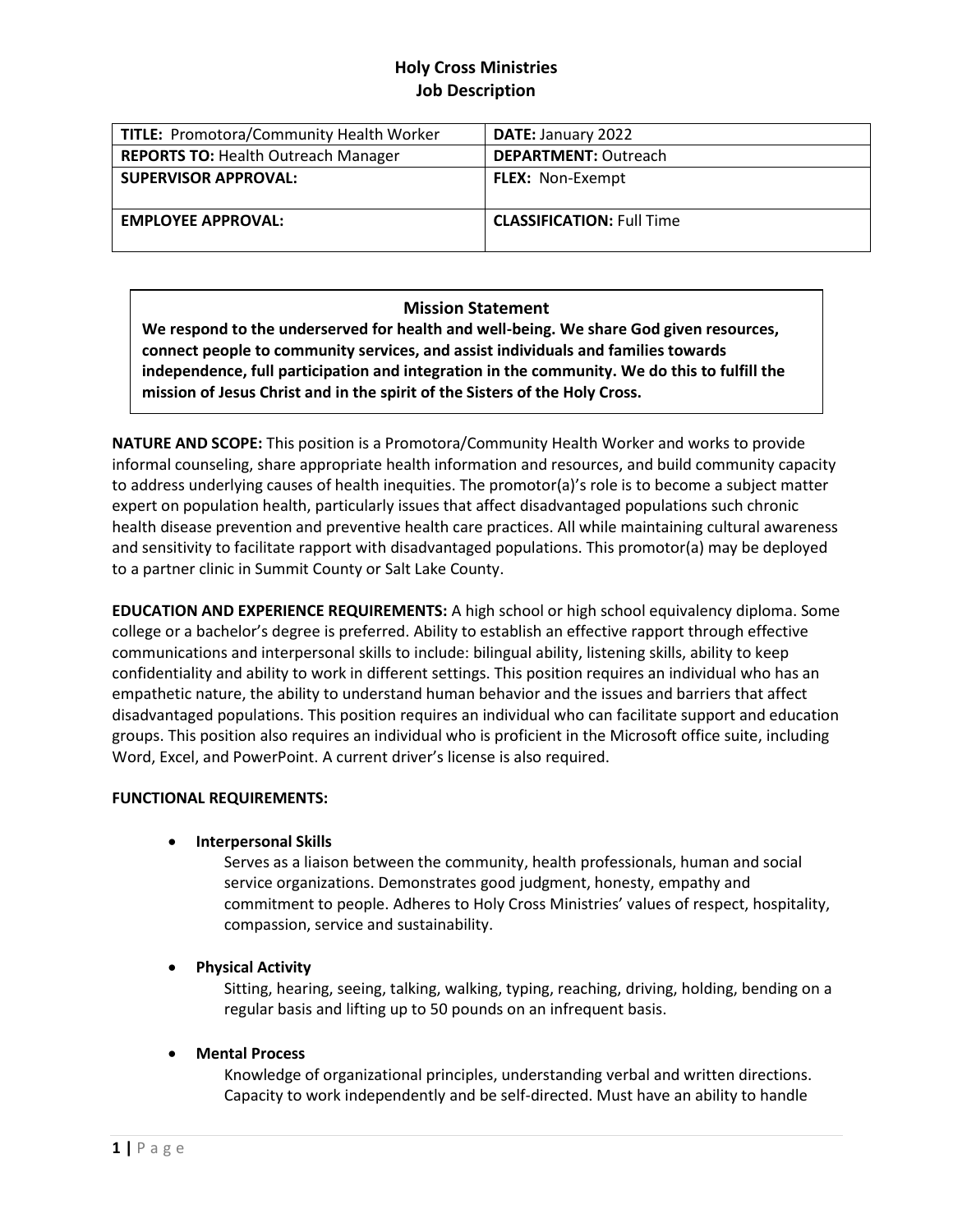# **Holy Cross Ministries Job Description**

| <b>TITLE: Promotora/Community Health Worker</b> | <b>DATE: January 2022</b>        |
|-------------------------------------------------|----------------------------------|
| <b>REPORTS TO: Health Outreach Manager</b>      | <b>DEPARTMENT: Outreach</b>      |
| <b>SUPERVISOR APPROVAL:</b>                     | <b>FLEX:</b> Non-Exempt          |
| <b>EMPLOYEE APPROVAL:</b>                       | <b>CLASSIFICATION: Full Time</b> |

## **Mission Statement**

**We respond to the underserved for health and well-being. We share God given resources, connect people to community services, and assist individuals and families towards independence, full participation and integration in the community. We do this to fulfill the mission of Jesus Christ and in the spirit of the Sisters of the Holy Cross.** 

**NATURE AND SCOPE:** This position is a Promotora/Community Health Worker and works to provide informal counseling, share appropriate health information and resources, and build community capacity to address underlying causes of health inequities. The promotor(a)'s role is to become a subject matter expert on population health, particularly issues that affect disadvantaged populations such chronic health disease prevention and preventive health care practices. All while maintaining cultural awareness and sensitivity to facilitate rapport with disadvantaged populations. This promotor(a) may be deployed to a partner clinic in Summit County or Salt Lake County.

**EDUCATION AND EXPERIENCE REQUIREMENTS:** A high school or high school equivalency diploma. Some college or a bachelor's degree is preferred. Ability to establish an effective rapport through effective communications and interpersonal skills to include: bilingual ability, listening skills, ability to keep confidentiality and ability to work in different settings. This position requires an individual who has an empathetic nature, the ability to understand human behavior and the issues and barriers that affect disadvantaged populations. This position requires an individual who can facilitate support and education groups. This position also requires an individual who is proficient in the Microsoft office suite, including Word, Excel, and PowerPoint. A current driver's license is also required.

### **FUNCTIONAL REQUIREMENTS:**

### • **Interpersonal Skills**

Serves as a liaison between the community, health professionals, human and social service organizations. Demonstrates good judgment, honesty, empathy and commitment to people. Adheres to Holy Cross Ministries' values of respect, hospitality, compassion, service and sustainability.

### • **Physical Activity**

Sitting, hearing, seeing, talking, walking, typing, reaching, driving, holding, bending on a regular basis and lifting up to 50 pounds on an infrequent basis.

### • **Mental Process**

Knowledge of organizational principles, understanding verbal and written directions. Capacity to work independently and be self-directed. Must have an ability to handle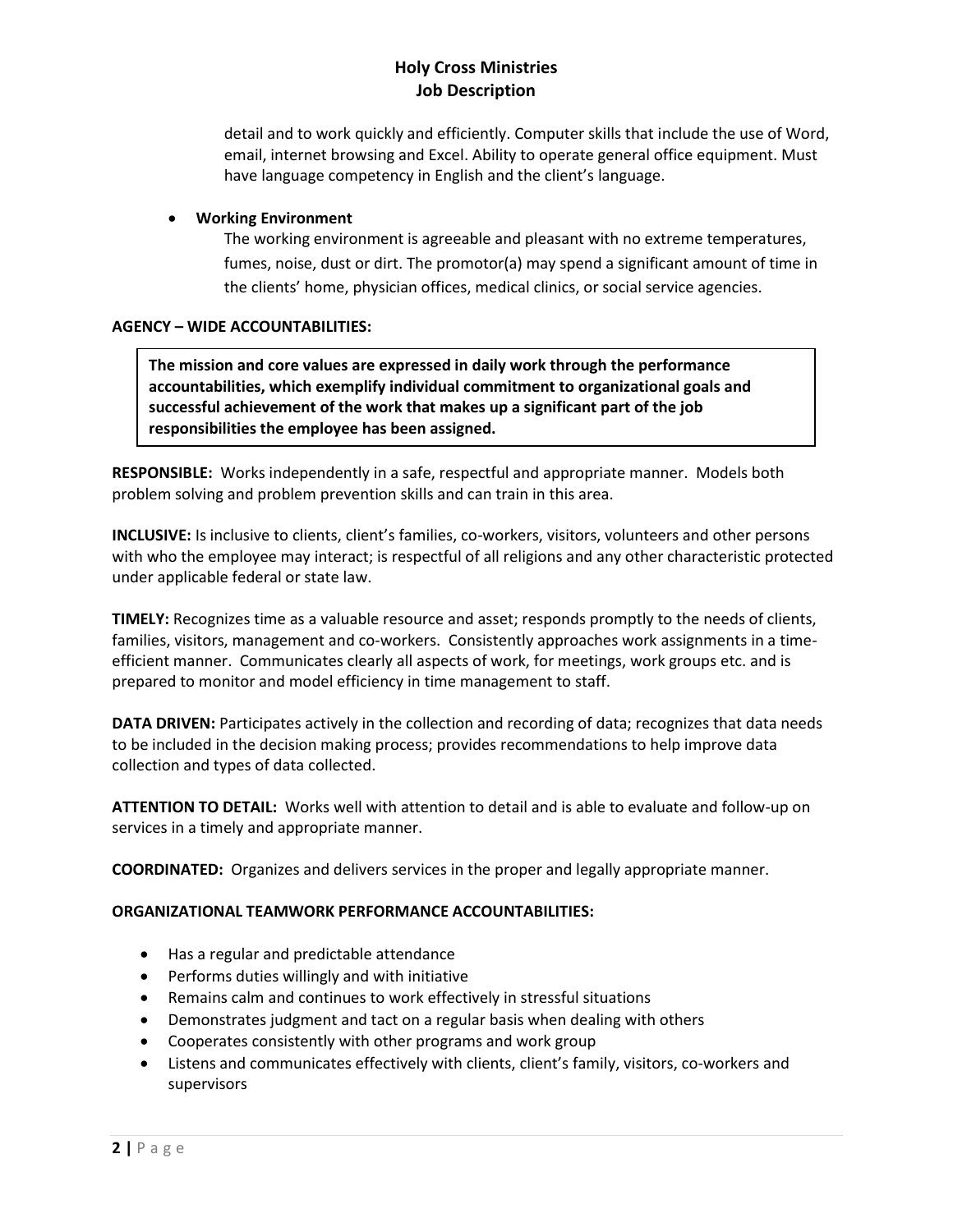# **Holy Cross Ministries Job Description**

detail and to work quickly and efficiently. Computer skills that include the use of Word, email, internet browsing and Excel. Ability to operate general office equipment. Must have language competency in English and the client's language.

## • **Working Environment**

The working environment is agreeable and pleasant with no extreme temperatures, fumes, noise, dust or dirt. The promotor(a) may spend a significant amount of time in the clients' home, physician offices, medical clinics, or social service agencies.

## **AGENCY – WIDE ACCOUNTABILITIES:**

**The mission and core values are expressed in daily work through the performance accountabilities, which exemplify individual commitment to organizational goals and successful achievement of the work that makes up a significant part of the job responsibilities the employee has been assigned.** 

**RESPONSIBLE:** Works independently in a safe, respectful and appropriate manner. Models both problem solving and problem prevention skills and can train in this area.

**INCLUSIVE:** Is inclusive to clients, client's families, co-workers, visitors, volunteers and other persons with who the employee may interact; is respectful of all religions and any other characteristic protected under applicable federal or state law.

**TIMELY:** Recognizes time as a valuable resource and asset; responds promptly to the needs of clients, families, visitors, management and co-workers. Consistently approaches work assignments in a timeefficient manner. Communicates clearly all aspects of work, for meetings, work groups etc. and is prepared to monitor and model efficiency in time management to staff.

**DATA DRIVEN:** Participates actively in the collection and recording of data; recognizes that data needs to be included in the decision making process; provides recommendations to help improve data collection and types of data collected.

**ATTENTION TO DETAIL:** Works well with attention to detail and is able to evaluate and follow-up on services in a timely and appropriate manner.

**COORDINATED:** Organizes and delivers services in the proper and legally appropriate manner.

## **ORGANIZATIONAL TEAMWORK PERFORMANCE ACCOUNTABILITIES:**

- Has a regular and predictable attendance
- Performs duties willingly and with initiative
- Remains calm and continues to work effectively in stressful situations
- Demonstrates judgment and tact on a regular basis when dealing with others
- Cooperates consistently with other programs and work group
- Listens and communicates effectively with clients, client's family, visitors, co-workers and supervisors